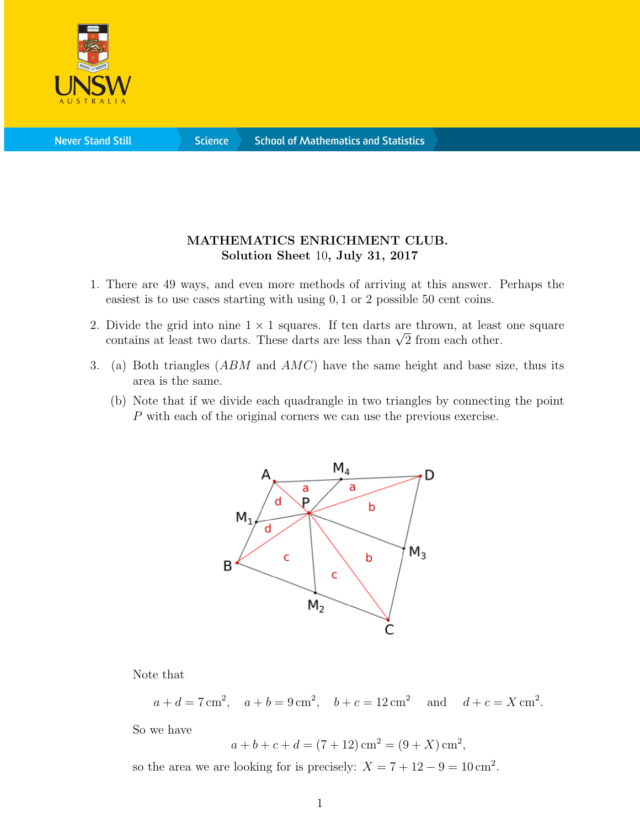

**Science** 

## MATHEMATICS ENRICHMENT CLUB. Solution Sheet 10, July 31, 2017

- 1. There are 49 ways, and even more methods of arriving at this answer. Perhaps the easiest is to use cases starting with using 0, 1 or 2 possible 50 cent coins.
- 2. Divide the grid into nine  $1 \times 1$  squares. If ten darts are thrown, at least one square Divide the grid into filme 1  $\times$  1 squares. If ten darts are thrown, at least contains at least two darts. These darts are less than  $\sqrt{2}$  from each other.
- 3. (a) Both triangles  $(ABM)$  and  $AMC$  have the same height and base size, thus its area is the same.
	- (b) Note that if we divide each quadrangle in two triangles by connecting the point P with each of the original corners we can use the previous exercise.



Note that

$$
a + d = 7 \text{ cm}^2
$$
,  $a + b = 9 \text{ cm}^2$ ,  $b + c = 12 \text{ cm}^2$  and  $d + c = X \text{ cm}^2$ .

So we have

$$
a + b + c + d = (7 + 12) \text{ cm}^2 = (9 + X) \text{ cm}^2
$$
,

so the area we are looking for is precisely:  $X = 7 + 12 - 9 = 10 \text{ cm}^2$ .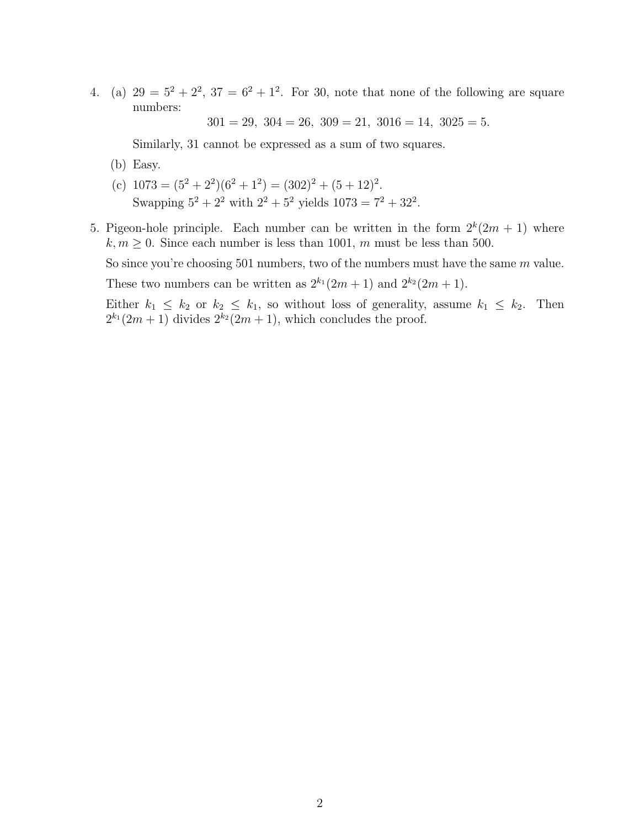4. (a)  $29 = 5^2 + 2^2$ ,  $37 = 6^2 + 1^2$ . For 30, note that none of the following are square numbers:

 $301 = 29, 304 = 26, 309 = 21, 3016 = 14, 3025 = 5.$ 

Similarly, 31 cannot be expressed as a sum of two squares.

- (b) Easy.
- (c)  $1073 = (5^2 + 2^2)(6^2 + 1^2) = (302)^2 + (5 + 12)^2$ . Swapping  $5^2 + 2^2$  with  $2^2 + 5^2$  yields  $1073 = 7^2 + 32^2$ .
- 5. Pigeon-hole principle. Each number can be written in the form  $2^k(2m + 1)$  where  $k, m \geq 0$ . Since each number is less than 1001, m must be less than 500.

So since you're choosing 501 numbers, two of the numbers must have the same m value.

These two numbers can be written as  $2^{k_1}(2m+1)$  and  $2^{k_2}(2m+1)$ .

Either  $k_1 \leq k_2$  or  $k_2 \leq k_1$ , so without loss of generality, assume  $k_1 \leq k_2$ . Then  $2^{k_1}(2m+1)$  divides  $2^{k_2}(2m+1)$ , which concludes the proof.